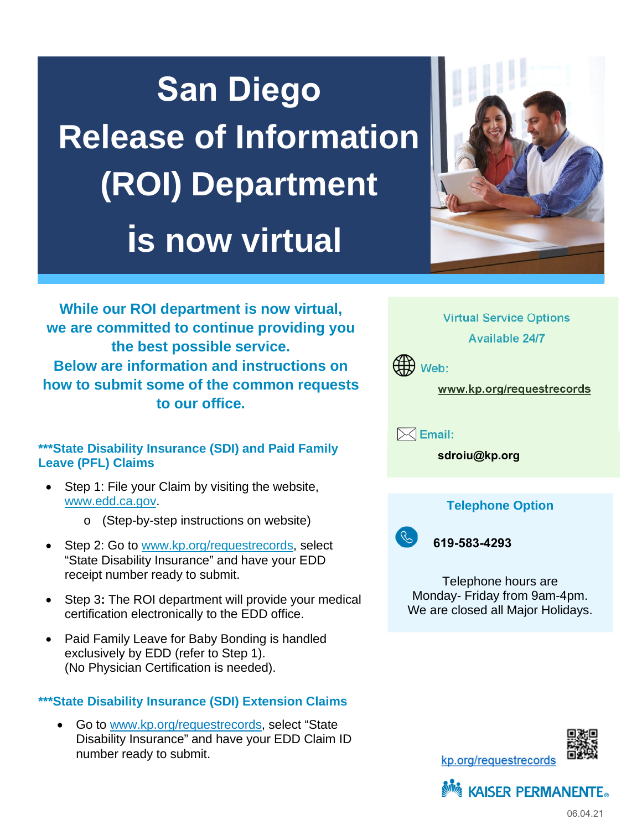# **San Diego Release of Information (ROI) Department is now virtual**



**While our ROI department is now virtual, we are committed to continue providing you the best possible service. Below are information and instructions on how to submit some of the common requests to our office.** 

### **\*\*\*State Disability Insurance (SDI) and Paid Family Leave (PFL) Claims**

- Step 1: File your Claim by visiting the website, [www.edd.ca.gov](http://www.edd.ca.gov/).
	- o (Step-by-step instructions on website)
- Step 2: Go to [www.kp.org/requestrecords,](http://www.kp.org/requestrecords) select "State Disability Insurance" and have your EDD receipt number ready to submit.
- Step 3**:** The ROI department will provide your medical certification electronically to the EDD office.
- Paid Family Leave for Baby Bonding is handled exclusively by EDD (refer to Step 1). (No Physician Certification is needed).

## **\*\*\*State Disability Insurance (SDI) Extension Claims**

 Go to [www.kp.org/requestrecords,](http://www.kp.org/requestrecords) select "State Disability Insurance" and have your EDD Claim ID number ready to submit.

**Virtual Service Options Available 24/7** 



**www.kp.org/requestrecords** 

 **Email:** 

**sdroiu@kp.org**

## **Telephone Option**



**619-583-4293**

Telephone hours are Monday- Friday from 9am-4pm. We are closed all Major Holidays.





kp.org/requestrecords